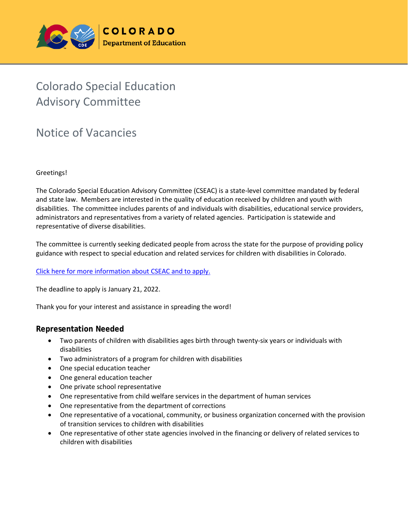

# Colorado Special Education Advisory Committee

## Notice of Vacancies

#### Greetings!

The Colorado Special Education Advisory Committee (CSEAC) is a state-level committee mandated by federal and state law. Members are interested in the quality of education received by children and youth with disabilities. The committee includes parents of and individuals with disabilities, educational service providers, administrators and representatives from a variety of related agencies. Participation is statewide and representative of diverse disabilities.

The committee is currently seeking dedicated people from across the state for the purpose of providing policy guidance with respect to special education and related services for children with disabilities in Colorado.

#### [Click here for more information about CSEAC and to apply.](http://www.cde.state.co.us/cdesped/CSEAC.asp)

The deadline to apply is January 21, 2022.

Thank you for your interest and assistance in spreading the word!

#### **Representation Needed**

- Two parents of children with disabilities ages birth through twenty-six years or individuals with disabilities
- Two administrators of a program for children with disabilities
- One special education teacher
- One general education teacher
- One private school representative
- One representative from child welfare services in the department of human services
- One representative from the department of corrections
- One representative of a vocational, community, or business organization concerned with the provision of transition services to children with disabilities
- One representative of other state agencies involved in the financing or delivery of related services to children with disabilities